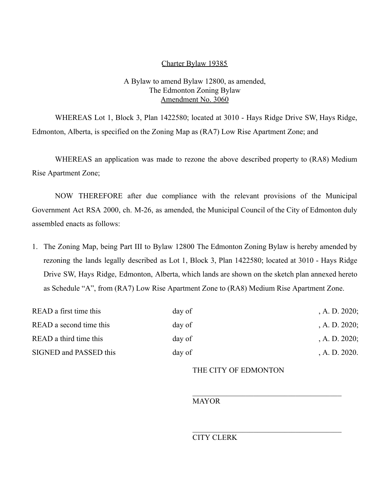## Charter Bylaw 19385

## A Bylaw to amend Bylaw 12800, as amended, The Edmonton Zoning Bylaw Amendment No. 3060

WHEREAS Lot 1, Block 3, Plan 1422580; located at 3010 - Hays Ridge Drive SW, Hays Ridge, Edmonton, Alberta, is specified on the Zoning Map as (RA7) Low Rise Apartment Zone; and

WHEREAS an application was made to rezone the above described property to (RA8) Medium Rise Apartment Zone;

NOW THEREFORE after due compliance with the relevant provisions of the Municipal Government Act RSA 2000, ch. M-26, as amended, the Municipal Council of the City of Edmonton duly assembled enacts as follows:

1. The Zoning Map, being Part III to Bylaw 12800 The Edmonton Zoning Bylaw is hereby amended by rezoning the lands legally described as Lot 1, Block 3, Plan 1422580; located at 3010 - Hays Ridge Drive SW, Hays Ridge, Edmonton, Alberta, which lands are shown on the sketch plan annexed hereto as Schedule "A", from (RA7) Low Rise Apartment Zone to (RA8) Medium Rise Apartment Zone.

| READ a first time this  | day of | , A. D. $2020$ ; |
|-------------------------|--------|------------------|
| READ a second time this | day of | , A. D. $2020$ ; |
| READ a third time this  | day of | , A. D. $2020$ ; |
| SIGNED and PASSED this  | day of | A. D. 2020.      |

THE CITY OF EDMONTON

MAYOR

CITY CLERK